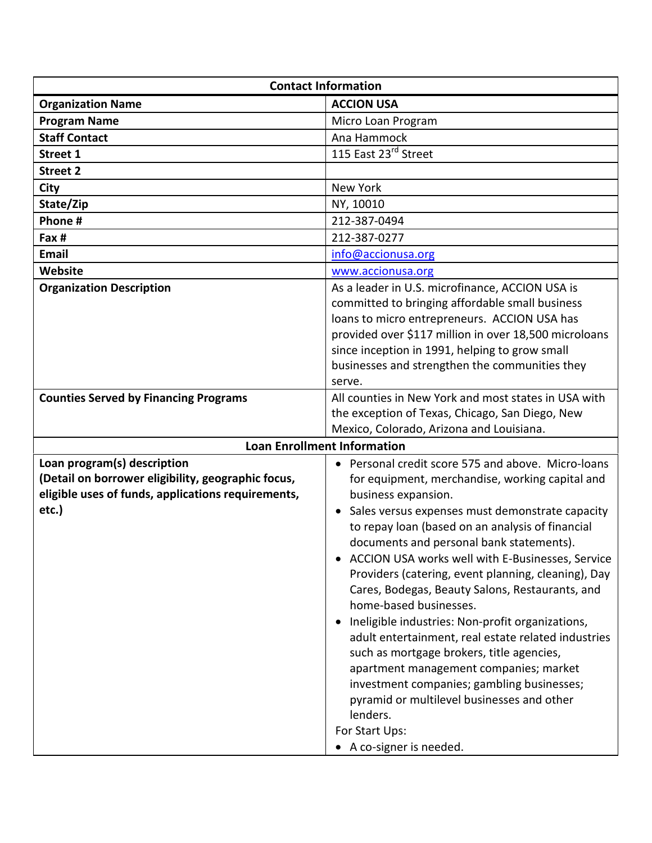| <b>Contact Information</b>                         |                                                       |
|----------------------------------------------------|-------------------------------------------------------|
| <b>Organization Name</b>                           | <b>ACCION USA</b>                                     |
| <b>Program Name</b>                                | Micro Loan Program                                    |
| <b>Staff Contact</b>                               | Ana Hammock                                           |
| <b>Street 1</b>                                    | 115 East 23rd Street                                  |
| <b>Street 2</b>                                    |                                                       |
| City                                               | New York                                              |
| State/Zip                                          | NY, 10010                                             |
| Phone #                                            | 212-387-0494                                          |
| Fax #                                              | 212-387-0277                                          |
| Email                                              | info@accionusa.org                                    |
| Website                                            | www.accionusa.org                                     |
| <b>Organization Description</b>                    | As a leader in U.S. microfinance, ACCION USA is       |
|                                                    | committed to bringing affordable small business       |
|                                                    | loans to micro entrepreneurs. ACCION USA has          |
|                                                    | provided over \$117 million in over 18,500 microloans |
|                                                    | since inception in 1991, helping to grow small        |
|                                                    | businesses and strengthen the communities they        |
|                                                    | serve.                                                |
| <b>Counties Served by Financing Programs</b>       | All counties in New York and most states in USA with  |
|                                                    | the exception of Texas, Chicago, San Diego, New       |
|                                                    | Mexico, Colorado, Arizona and Louisiana.              |
| <b>Loan Enrollment Information</b>                 |                                                       |
| Loan program(s) description                        | • Personal credit score 575 and above. Micro-loans    |
| (Detail on borrower eligibility, geographic focus, | for equipment, merchandise, working capital and       |
| eligible uses of funds, applications requirements, | business expansion.                                   |
| etc.)                                              | • Sales versus expenses must demonstrate capacity     |
|                                                    | to repay loan (based on an analysis of financial      |
|                                                    | documents and personal bank statements).              |
|                                                    | ACCION USA works well with E-Businesses, Service      |
|                                                    | Providers (catering, event planning, cleaning), Day   |
|                                                    | Cares, Bodegas, Beauty Salons, Restaurants, and       |
|                                                    | home-based businesses.                                |
|                                                    | Ineligible industries: Non-profit organizations,      |
|                                                    | adult entertainment, real estate related industries   |
|                                                    | such as mortgage brokers, title agencies,             |
|                                                    | apartment management companies; market                |
|                                                    | investment companies; gambling businesses;            |
|                                                    | pyramid or multilevel businesses and other            |
|                                                    | lenders.                                              |
|                                                    | For Start Ups:                                        |
|                                                    | • A co-signer is needed.                              |